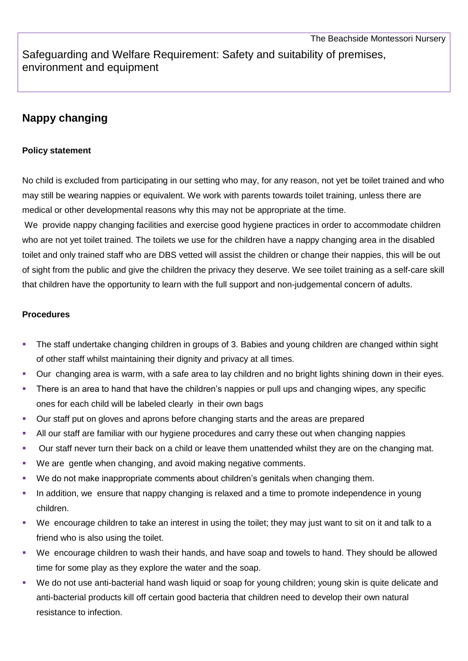The Beachside Montessori Nursery

Safeguarding and Welfare Requirement: Safety and suitability of premises, environment and equipment

## **Nappy changing**

## **Policy statement**

No child is excluded from participating in our setting who may, for any reason, not yet be toilet trained and who may still be wearing nappies or equivalent. We work with parents towards toilet training, unless there are medical or other developmental reasons why this may not be appropriate at the time.

 We provide nappy changing facilities and exercise good hygiene practices in order to accommodate children who are not yet toilet trained. The toilets we use for the children have a nappy changing area in the disabled toilet and only trained staff who are DBS vetted will assist the children or change their nappies, this will be out of sight from the public and give the children the privacy they deserve. We see toilet training as a self-care skill that children have the opportunity to learn with the full support and non-judgemental concern of adults.

## **Procedures**

- The staff undertake changing children in groups of 3. Babies and young children are changed within sight of other staff whilst maintaining their dignity and privacy at all times.
- Our changing area is warm, with a safe area to lay children and no bright lights shining down in their eyes.
- There is an area to hand that have the children's nappies or pull ups and changing wipes, any specific ones for each child will be labeled clearly in their own bags
- Our staff put on gloves and aprons before changing starts and the areas are prepared
- All our staff are familiar with our hygiene procedures and carry these out when changing nappies
- Our staff never turn their back on a child or leave them unattended whilst they are on the changing mat.
- We are gentle when changing, and avoid making negative comments.
- We do not make inappropriate comments about children's genitals when changing them.
- In addition, we ensure that nappy changing is relaxed and a time to promote independence in young children.
- We encourage children to take an interest in using the toilet; they may just want to sit on it and talk to a friend who is also using the toilet.
- We encourage children to wash their hands, and have soap and towels to hand. They should be allowed time for some play as they explore the water and the soap.
- We do not use anti-bacterial hand wash liquid or soap for young children; young skin is quite delicate and anti-bacterial products kill off certain good bacteria that children need to develop their own natural resistance to infection.